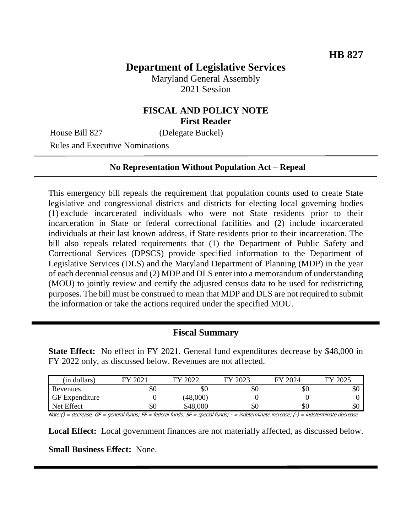# **Department of Legislative Services**

Maryland General Assembly 2021 Session

### **FISCAL AND POLICY NOTE First Reader**

House Bill 827 (Delegate Buckel)

Rules and Executive Nominations

#### **No Representation Without Population Act – Repeal**

This emergency bill repeals the requirement that population counts used to create State legislative and congressional districts and districts for electing local governing bodies (1) exclude incarcerated individuals who were not State residents prior to their incarceration in State or federal correctional facilities and (2) include incarcerated individuals at their last known address, if State residents prior to their incarceration. The bill also repeals related requirements that (1) the Department of Public Safety and Correctional Services (DPSCS) provide specified information to the Department of Legislative Services (DLS) and the Maryland Department of Planning (MDP) in the year of each decennial census and (2) MDP and DLS enter into a memorandum of understanding (MOU) to jointly review and certify the adjusted census data to be used for redistricting purposes. The bill must be construed to mean that MDP and DLS are not required to submit the information or take the actions required under the specified MOU.

#### **Fiscal Summary**

**State Effect:** No effect in FY 2021. General fund expenditures decrease by \$48,000 in FY 2022 only, as discussed below. Revenues are not affected.

| (in dollars)          | ററ<br>FV | 2022<br>ЕV | 2023<br>ГV | 2024<br>ГV | 2025<br>FУ |
|-----------------------|----------|------------|------------|------------|------------|
| Revenues              | \$0      | \$0        | \$0        | \$0        | ФU         |
| <b>GF</b> Expenditure |          | (48,000)   |            |            |            |
| Net Effect            | \$0      | \$48,000   | \$0        | \$0        | \$0        |

Note:() = decrease; GF = general funds; FF = federal funds; SF = special funds; - = indeterminate increase; (-) = indeterminate decrease

**Local Effect:** Local government finances are not materially affected, as discussed below.

**Small Business Effect:** None.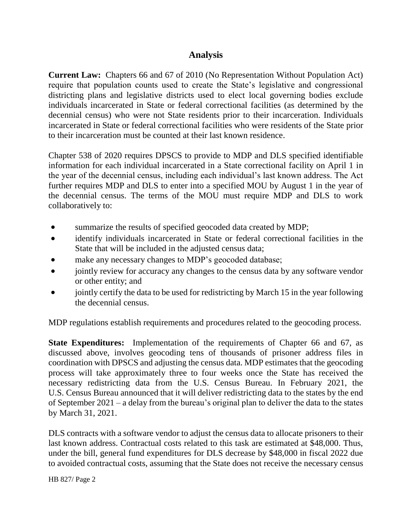### **Analysis**

**Current Law:** Chapters 66 and 67 of 2010 (No Representation Without Population Act) require that population counts used to create the State's legislative and congressional districting plans and legislative districts used to elect local governing bodies exclude individuals incarcerated in State or federal correctional facilities (as determined by the decennial census) who were not State residents prior to their incarceration. Individuals incarcerated in State or federal correctional facilities who were residents of the State prior to their incarceration must be counted at their last known residence.

Chapter 538 of 2020 requires DPSCS to provide to MDP and DLS specified identifiable information for each individual incarcerated in a State correctional facility on April 1 in the year of the decennial census, including each individual's last known address. The Act further requires MDP and DLS to enter into a specified MOU by August 1 in the year of the decennial census. The terms of the MOU must require MDP and DLS to work collaboratively to:

- summarize the results of specified geocoded data created by MDP;
- identify individuals incarcerated in State or federal correctional facilities in the State that will be included in the adjusted census data;
- make any necessary changes to MDP's geocoded database;
- jointly review for accuracy any changes to the census data by any software vendor or other entity; and
- jointly certify the data to be used for redistricting by March 15 in the year following the decennial census.

MDP regulations establish requirements and procedures related to the geocoding process.

**State Expenditures:** Implementation of the requirements of Chapter 66 and 67, as discussed above, involves geocoding tens of thousands of prisoner address files in coordination with DPSCS and adjusting the census data. MDP estimates that the geocoding process will take approximately three to four weeks once the State has received the necessary redistricting data from the U.S. Census Bureau. In February 2021, the U.S. Census Bureau announced that it will deliver redistricting data to the states by the end of September 2021 – a delay from the bureau's original plan to deliver the data to the states by March 31, 2021.

DLS contracts with a software vendor to adjust the census data to allocate prisoners to their last known address. Contractual costs related to this task are estimated at \$48,000. Thus, under the bill, general fund expenditures for DLS decrease by \$48,000 in fiscal 2022 due to avoided contractual costs, assuming that the State does not receive the necessary census

HB 827/ Page 2